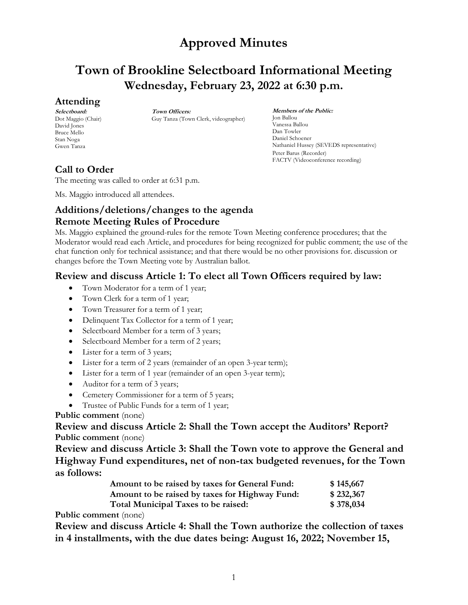# **Town of Brookline Selectboard Informational Meeting Wednesday, February 23, 2022 at 6:30 p.m.**

### **Attending**

**Selectboard:** Dot Maggio (Chair) David Jones Bruce Mello Stan Noga Gwen Tanza

**Town Officers:** Guy Tanza (Town Clerk, videographer)

**Members of the Public:** Jon Ballou Vanessa Ballou Dan Towler Daniel Schoener Nathaniel Hussey (SEVEDS representative) Peter Barus (Recorder) FACTV (Videoconference recording)

## **Call to Order**

The meeting was called to order at 6:31 p.m.

Ms. Maggio introduced all attendees.

## **Additions/deletions/changes to the agenda Remote Meeting Rules of Procedure**

Ms. Maggio explained the ground-rules for the remote Town Meeting conference procedures; that the Moderator would read each Article, and procedures for being recognized for public comment; the use of the chat function only for technical assistance; and that there would be no other provisions for. discussion or changes before the Town Meeting vote by Australian ballot.

### **Review and discuss Article 1: To elect all Town Officers required by law:**

- Town Moderator for a term of 1 year;
- Town Clerk for a term of 1 year;
- Town Treasurer for a term of 1 year;
- Delinquent Tax Collector for a term of 1 year;
- Selectboard Member for a term of 3 years;
- Selectboard Member for a term of 2 years;
- Lister for a term of 3 years;
- Lister for a term of 2 years (remainder of an open 3-year term);
- Lister for a term of 1 year (remainder of an open 3-year term);
- Auditor for a term of 3 years;
- Cemetery Commissioner for a term of 5 years;
- Trustee of Public Funds for a term of 1 year;

#### **Public comment** (none)

**Review and discuss Article 2: Shall the Town accept the Auditors' Report? Public comment** (none)

**Review and discuss Article 3: Shall the Town vote to approve the General and Highway Fund expenditures, net of non-tax budgeted revenues, for the Town as follows:**

| Amount to be raised by taxes for General Fund: | \$145,667 |
|------------------------------------------------|-----------|
| Amount to be raised by taxes for Highway Fund: | \$232,367 |
| Total Municipal Taxes to be raised:            | \$378,034 |

**Public comment** (none)

**Review and discuss Article 4: Shall the Town authorize the collection of taxes in 4 installments, with the due dates being: August 16, 2022; November 15,**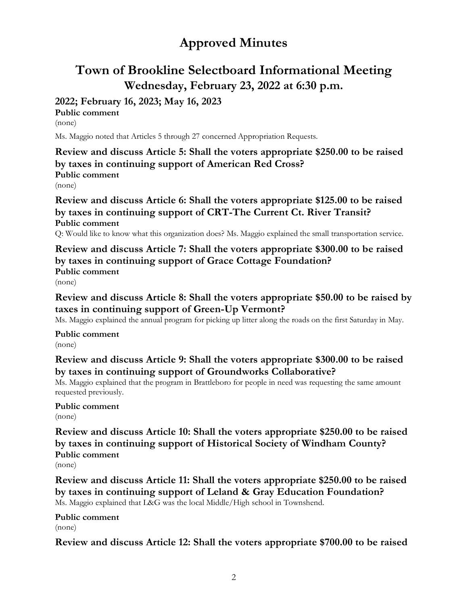# **Town of Brookline Selectboard Informational Meeting Wednesday, February 23, 2022 at 6:30 p.m.**

# **2022; February 16, 2023; May 16, 2023**

**Public comment** (none)

Ms. Maggio noted that Articles 5 through 27 concerned Appropriation Requests.

**Review and discuss Article 5: Shall the voters appropriate \$250.00 to be raised by taxes in continuing support of American Red Cross? Public comment** (none)

**Review and discuss Article 6: Shall the voters appropriate \$125.00 to be raised by taxes in continuing support of CRT-The Current Ct. River Transit? Public comment**

Q: Would like to know what this organization does? Ms. Maggio explained the small transportation service.

**Review and discuss Article 7: Shall the voters appropriate \$300.00 to be raised by taxes in continuing support of Grace Cottage Foundation? Public comment**

(none)

**Review and discuss Article 8: Shall the voters appropriate \$50.00 to be raised by taxes in continuing support of Green-Up Vermont?**

Ms. Maggio explained the annual program for picking up litter along the roads on the first Saturday in May.

**Public comment** (none)

**Review and discuss Article 9: Shall the voters appropriate \$300.00 to be raised by taxes in continuing support of Groundworks Collaborative?**

Ms. Maggio explained that the program in Brattleboro for people in need was requesting the same amount requested previously.

#### **Public comment** (none)

**Review and discuss Article 10: Shall the voters appropriate \$250.00 to be raised by taxes in continuing support of Historical Society of Windham County? Public comment**

(none)

**Review and discuss Article 11: Shall the voters appropriate \$250.00 to be raised by taxes in continuing support of Leland & Gray Education Foundation?** Ms. Maggio explained that L&G was the local Middle/High school in Townshend.

**Public comment** (none)

**Review and discuss Article 12: Shall the voters appropriate \$700.00 to be raised**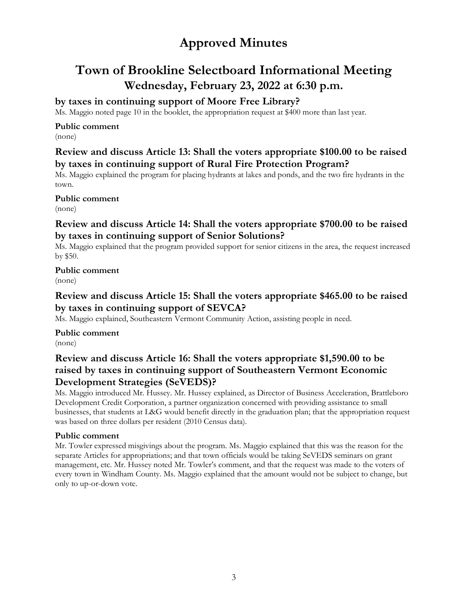# **Town of Brookline Selectboard Informational Meeting Wednesday, February 23, 2022 at 6:30 p.m.**

### **by taxes in continuing support of Moore Free Library?**

Ms. Maggio noted page 10 in the booklet, the appropriation request at \$400 more than last year.

#### **Public comment**

(none)

### **Review and discuss Article 13: Shall the voters appropriate \$100.00 to be raised by taxes in continuing support of Rural Fire Protection Program?**

Ms. Maggio explained the program for placing hydrants at lakes and ponds, and the two fire hydrants in the town.

**Public comment**

(none)

### **Review and discuss Article 14: Shall the voters appropriate \$700.00 to be raised by taxes in continuing support of Senior Solutions?**

Ms. Maggio explained that the program provided support for senior citizens in the area, the request increased by \$50.

#### **Public comment** (none)

## **Review and discuss Article 15: Shall the voters appropriate \$465.00 to be raised by taxes in continuing support of SEVCA?**

Ms. Maggio explained, Southeastern Vermont Community Action, assisting people in need.

**Public comment** (none)

### **Review and discuss Article 16: Shall the voters appropriate \$1,590.00 to be raised by taxes in continuing support of Southeastern Vermont Economic Development Strategies (SeVEDS)?**

Ms. Maggio introduced Mr. Hussey. Mr. Hussey explained, as Director of Business Acceleration, Brattleboro Development Credit Corporation, a partner organization concerned with providing assistance to small businesses, that students at L&G would benefit directly in the graduation plan; that the appropriation request was based on three dollars per resident (2010 Census data).

#### **Public comment**

Mr. Towler expressed misgivings about the program. Ms. Maggio explained that this was the reason for the separate Articles for appropriations; and that town officials would be taking SeVEDS seminars on grant management, etc. Mr. Hussey noted Mr. Towler's comment, and that the request was made to the voters of every town in Windham County. Ms. Maggio explained that the amount would not be subject to change, but only to up-or-down vote.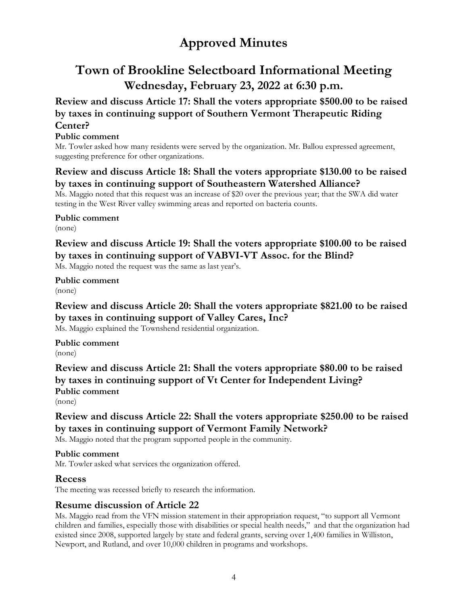# **Town of Brookline Selectboard Informational Meeting Wednesday, February 23, 2022 at 6:30 p.m.**

### **Review and discuss Article 17: Shall the voters appropriate \$500.00 to be raised by taxes in continuing support of Southern Vermont Therapeutic Riding Center?**

#### **Public comment**

Mr. Towler asked how many residents were served by the organization. Mr. Ballou expressed agreement, suggesting preference for other organizations.

### **Review and discuss Article 18: Shall the voters appropriate \$130.00 to be raised by taxes in continuing support of Southeastern Watershed Alliance?**

Ms. Maggio noted that this request was an increase of \$20 over the previous year; that the SWA did water testing in the West River valley swimming areas and reported on bacteria counts.

**Public comment** (none)

## **Review and discuss Article 19: Shall the voters appropriate \$100.00 to be raised by taxes in continuing support of VABVI-VT Assoc. for the Blind?**

Ms. Maggio noted the request was the same as last year's.

**Public comment** (none)

## **Review and discuss Article 20: Shall the voters appropriate \$821.00 to be raised by taxes in continuing support of Valley Cares, Inc?**

Ms. Maggio explained the Townshend residential organization.

**Public comment** (none)

**Review and discuss Article 21: Shall the voters appropriate \$80.00 to be raised by taxes in continuing support of Vt Center for Independent Living? Public comment**

(none)

## **Review and discuss Article 22: Shall the voters appropriate \$250.00 to be raised by taxes in continuing support of Vermont Family Network?**

Ms. Maggio noted that the program supported people in the community.

#### **Public comment**

Mr. Towler asked what services the organization offered.

#### **Recess**

The meeting was recessed briefly to research the information.

### **Resume discussion of Article 22**

Ms. Maggio read from the VFN mission statement in their appropriation request, "to support all Vermont children and families, especially those with disabilities or special health needs," and that the organization had existed since 2008, supported largely by state and federal grants, serving over 1,400 families in Williston, Newport, and Rutland, and over 10,000 children in programs and workshops.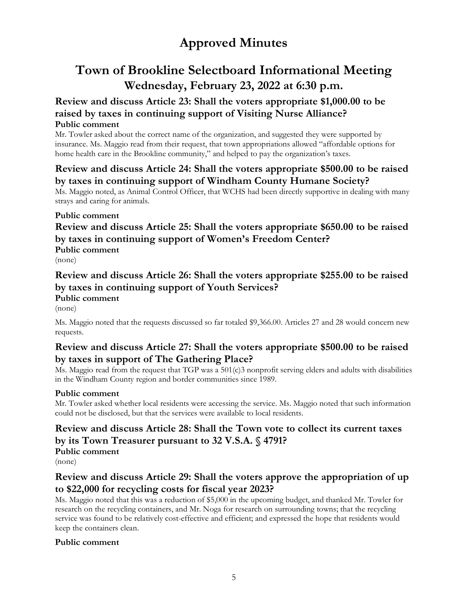# **Town of Brookline Selectboard Informational Meeting Wednesday, February 23, 2022 at 6:30 p.m.**

### **Review and discuss Article 23: Shall the voters appropriate \$1,000.00 to be raised by taxes in continuing support of Visiting Nurse Alliance? Public comment**

Mr. Towler asked about the correct name of the organization, and suggested they were supported by insurance. Ms. Maggio read from their request, that town appropriations allowed "affordable options for home health care in the Brookline community," and helped to pay the organization's taxes.

### **Review and discuss Article 24: Shall the voters appropriate \$500.00 to be raised by taxes in continuing support of Windham County Humane Society?**

Ms. Maggio noted, as Animal Control Officer, that WCHS had been directly supportive in dealing with many strays and caring for animals.

### **Public comment**

## **Review and discuss Article 25: Shall the voters appropriate \$650.00 to be raised by taxes in continuing support of Women's Freedom Center? Public comment**

(none)

### **Review and discuss Article 26: Shall the voters appropriate \$255.00 to be raised by taxes in continuing support of Youth Services? Public comment**

(none)

Ms. Maggio noted that the requests discussed so far totaled \$9,366.00. Articles 27 and 28 would concern new requests.

### **Review and discuss Article 27: Shall the voters appropriate \$500.00 to be raised by taxes in support of The Gathering Place?**

Ms. Maggio read from the request that TGP was a 501(c)3 nonprofit serving elders and adults with disabilities in the Windham County region and border communities since 1989.

#### **Public comment**

Mr. Towler asked whether local residents were accessing the service. Ms. Maggio noted that such information could not be disclosed, but that the services were available to local residents.

## **Review and discuss Article 28: Shall the Town vote to collect its current taxes by its Town Treasurer pursuant to 32 V.S.A. § 4791? Public comment**

(none)

## **Review and discuss Article 29: Shall the voters approve the appropriation of up to \$22,000 for recycling costs for fiscal year 2023?**

Ms. Maggio noted that this was a reduction of \$5,000 in the upcoming budget, and thanked Mr. Towler for research on the recycling containers, and Mr. Noga for research on surrounding towns; that the recycling service was found to be relatively cost-effective and efficient; and expressed the hope that residents would keep the containers clean.

#### **Public comment**